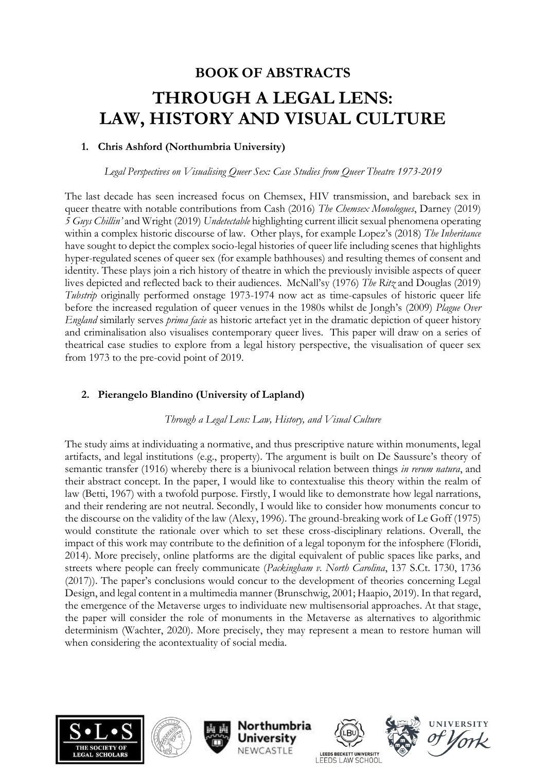# **BOOK OF ABSTRACTS THROUGH A LEGAL LENS: LAW, HISTORY AND VISUAL CULTURE**

# **1. Chris Ashford (Northumbria University)**

*Legal Perspectives on Visualising Queer Sex: Case Studies from Queer Theatre 1973-2019*

The last decade has seen increased focus on Chemsex, HIV transmission, and bareback sex in queer theatre with notable contributions from Cash (2016) *The Chemsex Monologues*, Darney (2019) *5 Guys Chillin'* and Wright (2019) *Undetectable* highlighting current illicit sexual phenomena operating within a complex historic discourse of law. Other plays, for example Lopez's (2018) *The Inheritance* have sought to depict the complex socio-legal histories of queer life including scenes that highlights hyper-regulated scenes of queer sex (for example bathhouses) and resulting themes of consent and identity. These plays join a rich history of theatre in which the previously invisible aspects of queer lives depicted and reflected back to their audiences. McNall'sy (1976) *The Ritz* and Douglas (2019) *Tubstrip* originally performed onstage 1973-1974 now act as time-capsules of historic queer life before the increased regulation of queer venues in the 1980s whilst de Jongh's (2009) *Plague Over England* similarly serves *prima facie* as historic artefact yet in the dramatic depiction of queer history and criminalisation also visualises contemporary queer lives. This paper will draw on a series of theatrical case studies to explore from a legal history perspective, the visualisation of queer sex from 1973 to the pre-covid point of 2019.

# **2. Pierangelo Blandino (University of Lapland)**

## *Through a Legal Lens: Law, History, and Visual Culture*

The study aims at individuating a normative, and thus prescriptive nature within monuments, legal artifacts, and legal institutions (e.g., property). The argument is built on De Saussure's theory of semantic transfer (1916) whereby there is a biunivocal relation between things *in rerum natura*, and their abstract concept. In the paper, I would like to contextualise this theory within the realm of law (Betti, 1967) with a twofold purpose. Firstly, I would like to demonstrate how legal narrations, and their rendering are not neutral. Secondly, I would like to consider how monuments concur to the discourse on the validity of the law (Alexy, 1996). The ground-breaking work of Le Goff (1975) would constitute the rationale over which to set these cross-disciplinary relations. Overall, the impact of this work may contribute to the definition of a legal toponym for the infosphere (Floridi, 2014). More precisely, online platforms are the digital equivalent of public spaces like parks, and streets where people can freely communicate (*Packingham v. North Carolina*, 137 S.Ct. 1730, 1736 (2017)). The paper's conclusions would concur to the development of theories concerning Legal Design, and legal content in a multimedia manner (Brunschwig, 2001; Haapio, 2019). In that regard, the emergence of the Metaverse urges to individuate new multisensorial approaches. At that stage, the paper will consider the role of monuments in the Metaverse as alternatives to algorithmic determinism (Wachter, 2020). More precisely, they may represent a mean to restore human will when considering the acontextuality of social media.











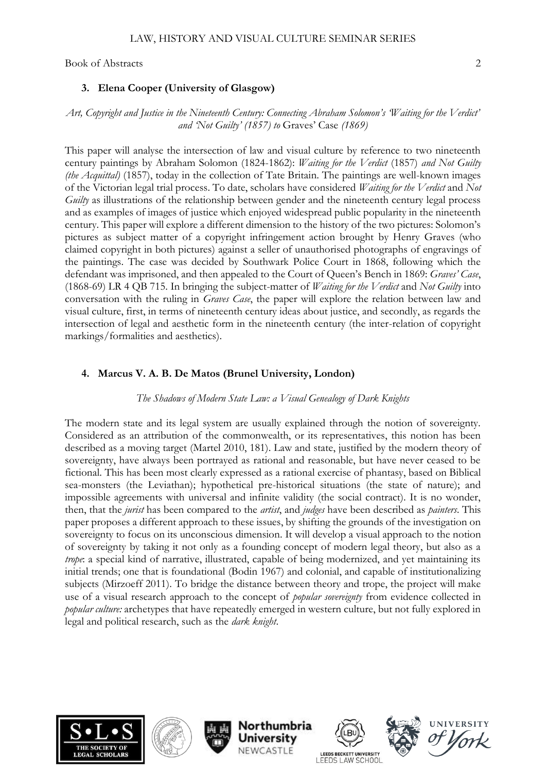#### **3. Elena Cooper (University of Glasgow)**

#### *Art, Copyright and Justice in the Nineteenth Century: Connecting Abraham Solomon's 'Waiting for the Verdict' and 'Not Guilty' (1857) to* Graves' Case *(1869)*

This paper will analyse the intersection of law and visual culture by reference to two nineteenth century paintings by Abraham Solomon (1824-1862): *Waiting for the Verdict* (1857) *and Not Guilty (the Acquittal)* (1857), today in the collection of Tate Britain. The paintings are well-known images of the Victorian legal trial process. To date, scholars have considered *Waiting for the Verdict* and *Not Guilty* as illustrations of the relationship between gender and the nineteenth century legal process and as examples of images of justice which enjoyed widespread public popularity in the nineteenth century. This paper will explore a different dimension to the history of the two pictures: Solomon's pictures as subject matter of a copyright infringement action brought by Henry Graves (who claimed copyright in both pictures) against a seller of unauthorised photographs of engravings of the paintings. The case was decided by Southwark Police Court in 1868, following which the defendant was imprisoned, and then appealed to the Court of Queen's Bench in 1869: *Graves' Case*, (1868-69) LR 4 QB 715. In bringing the subject-matter of *Waiting for the Verdict* and *Not Guilty* into conversation with the ruling in *Graves Case*, the paper will explore the relation between law and visual culture, first, in terms of nineteenth century ideas about justice, and secondly, as regards the intersection of legal and aesthetic form in the nineteenth century (the inter-relation of copyright markings/formalities and aesthetics).

## **4. Marcus V. A. B. De Matos (Brunel University, London)**

#### *The Shadows of Modern State Law: a Visual Genealogy of Dark Knights*

The modern state and its legal system are usually explained through the notion of sovereignty. Considered as an attribution of the commonwealth, or its representatives, this notion has been described as a moving target (Martel 2010, 181). Law and state, justified by the modern theory of sovereignty, have always been portrayed as rational and reasonable, but have never ceased to be fictional. This has been most clearly expressed as a rational exercise of phantasy, based on Biblical sea-monsters (the Leviathan); hypothetical pre-historical situations (the state of nature); and impossible agreements with universal and infinite validity (the social contract). It is no wonder, then, that the *jurist* has been compared to the *artist*, and *judges* have been described as *painters*. This paper proposes a different approach to these issues, by shifting the grounds of the investigation on sovereignty to focus on its unconscious dimension. It will develop a visual approach to the notion of sovereignty by taking it not only as a founding concept of modern legal theory, but also as a *trope*: a special kind of narrative, illustrated, capable of being modernized, and yet maintaining its initial trends; one that is foundational (Bodin 1967) and colonial, and capable of institutionalizing subjects (Mirzoeff 2011). To bridge the distance between theory and trope, the project will make use of a visual research approach to the concept of *popular sovereignty* from evidence collected in *popular culture:* archetypes that have repeatedly emerged in western culture, but not fully explored in legal and political research, such as the *dark knight*.











**UNIVERSITY**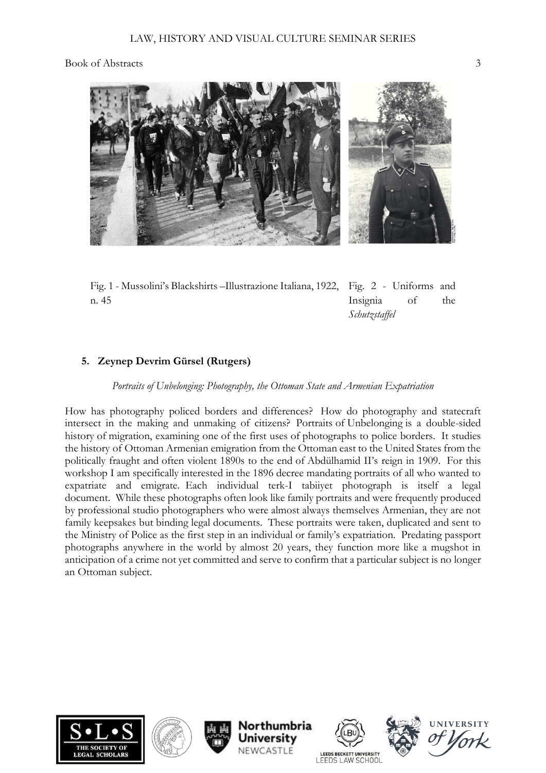

Fig. 1 - Mussolini's Blackshirts –Illustrazione Italiana, 1922, Fig. 2 - Uniforms and n. 45

Insignia of the *Schutzstaffel*

# **5. Zeynep Devrim Gürsel (Rutgers)**

## *Portraits of Unbelonging: Photography, the Ottoman State and Armenian Expatriation*

How has photography policed borders and differences? How do photography and statecraft intersect in the making and unmaking of citizens? Portraits of Unbelonging is a double-sided history of migration, examining one of the first uses of photographs to police borders. It studies the history of Ottoman Armenian emigration from the Ottoman east to the United States from the politically fraught and often violent 1890s to the end of Abdülhamid II's reign in 1909. For this workshop I am specifically interested in the 1896 decree mandating portraits of all who wanted to expatriate and emigrate. Each individual terk-I tabiiyet photograph is itself a legal document. While these photographs often look like family portraits and were frequently produced by professional studio photographers who were almost always themselves Armenian, they are not family keepsakes but binding legal documents. These portraits were taken, duplicated and sent to the Ministry of Police as the first step in an individual or family's expatriation. Predating passport photographs anywhere in the world by almost 20 years, they function more like a mugshot in anticipation of a crime not yet committed and serve to confirm that a particular subject is no longer an Ottoman subject.













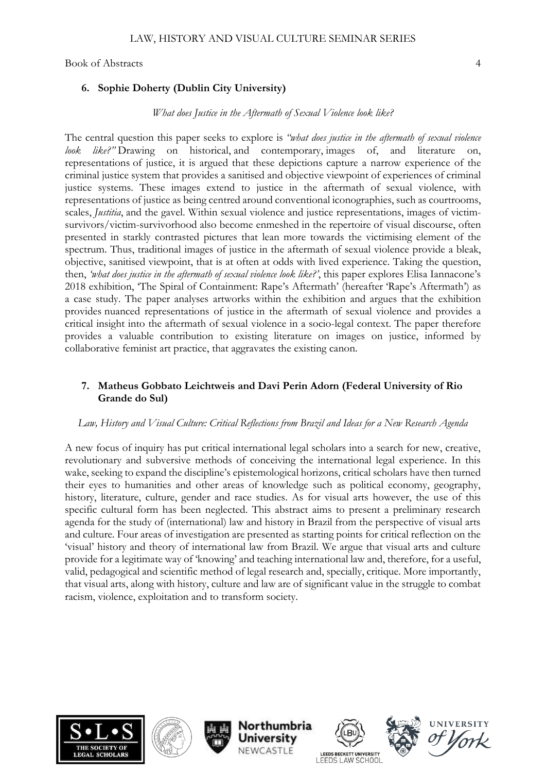## **6. Sophie Doherty (Dublin City University)**

#### *What does Justice in the Aftermath of Sexual Violence look like?*

The central question this paper seeks to explore is *"what does justice in the aftermath of sexual violence look like?"* Drawing on historical, and contemporary, images of, and literature on, representations of justice, it is argued that these depictions capture a narrow experience of the criminal justice system that provides a sanitised and objective viewpoint of experiences of criminal justice systems. These images extend to justice in the aftermath of sexual violence, with representations of justice as being centred around conventional iconographies, such as courtrooms, scales, *Justitia*, and the gavel. Within sexual violence and justice representations, images of victimsurvivors/victim-survivorhood also become enmeshed in the repertoire of visual discourse, often presented in starkly contrasted pictures that lean more towards the victimising element of the spectrum. Thus, traditional images of justice in the aftermath of sexual violence provide a bleak, objective, sanitised viewpoint, that is at often at odds with lived experience. Taking the question, then, *'what does justice in the aftermath of sexual violence look like?'*, this paper explores Elisa Iannacone's 2018 exhibition, 'The Spiral of Containment: Rape's Aftermath' (hereafter 'Rape's Aftermath') as a case study. The paper analyses artworks within the exhibition and argues that the exhibition provides nuanced representations of justice in the aftermath of sexual violence and provides a critical insight into the aftermath of sexual violence in a socio-legal context. The paper therefore provides a valuable contribution to existing literature on images on justice, informed by collaborative feminist art practice, that aggravates the existing canon.

## **7. Matheus Gobbato Leichtweis and Davi Perin Adorn (Federal University of Rio Grande do Sul)**

#### *Law, History and Visual Culture: Critical Reflections from Brazil and Ideas for a New Research Agenda*

A new focus of inquiry has put critical international legal scholars into a search for new, creative, revolutionary and subversive methods of conceiving the international legal experience. In this wake, seeking to expand the discipline's epistemological horizons, critical scholars have then turned their eyes to humanities and other areas of knowledge such as political economy, geography, history, literature, culture, gender and race studies. As for visual arts however, the use of this specific cultural form has been neglected. This abstract aims to present a preliminary research agenda for the study of (international) law and history in Brazil from the perspective of visual arts and culture. Four areas of investigation are presented as starting points for critical reflection on the 'visual' history and theory of international law from Brazil. We argue that visual arts and culture provide for a legitimate way of 'knowing' and teaching international law and, therefore, for a useful, valid, pedagogical and scientific method of legal research and, specially, critique. More importantly, that visual arts, along with history, culture and law are of significant value in the struggle to combat racism, violence, exploitation and to transform society.











**UNIVERSITY**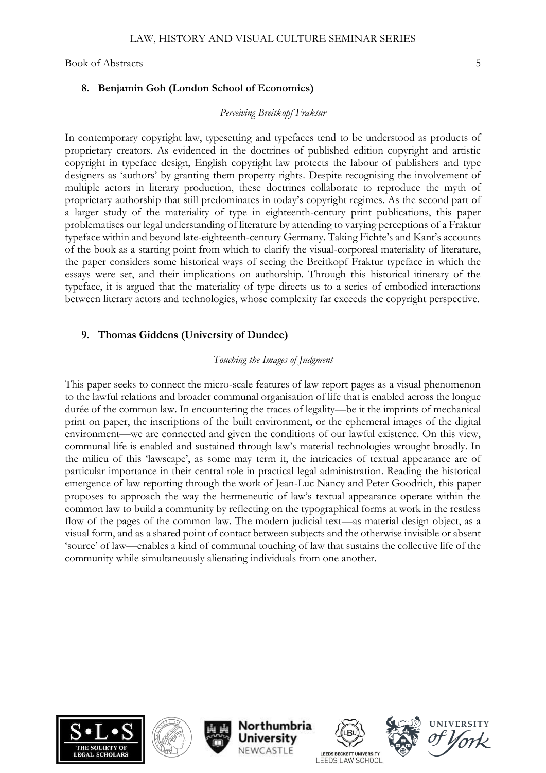## **8. Benjamin Goh (London School of Economics)**

#### *Perceiving Breitkopf Fraktur*

In contemporary copyright law, typesetting and typefaces tend to be understood as products of proprietary creators. As evidenced in the doctrines of published edition copyright and artistic copyright in typeface design, English copyright law protects the labour of publishers and type designers as 'authors' by granting them property rights. Despite recognising the involvement of multiple actors in literary production, these doctrines collaborate to reproduce the myth of proprietary authorship that still predominates in today's copyright regimes. As the second part of a larger study of the materiality of type in eighteenth-century print publications, this paper problematises our legal understanding of literature by attending to varying perceptions of a Fraktur typeface within and beyond late-eighteenth-century Germany. Taking Fichte's and Kant's accounts of the book as a starting point from which to clarify the visual-corporeal materiality of literature, the paper considers some historical ways of seeing the Breitkopf Fraktur typeface in which the essays were set, and their implications on authorship. Through this historical itinerary of the typeface, it is argued that the materiality of type directs us to a series of embodied interactions between literary actors and technologies, whose complexity far exceeds the copyright perspective.

# **9. Thomas Giddens (University of Dundee)**

## *Touching the Images of Judgment*

This paper seeks to connect the micro-scale features of law report pages as a visual phenomenon to the lawful relations and broader communal organisation of life that is enabled across the longue durée of the common law. In encountering the traces of legality—be it the imprints of mechanical print on paper, the inscriptions of the built environment, or the ephemeral images of the digital environment—we are connected and given the conditions of our lawful existence. On this view, communal life is enabled and sustained through law's material technologies wrought broadly. In the milieu of this 'lawscape', as some may term it, the intricacies of textual appearance are of particular importance in their central role in practical legal administration. Reading the historical emergence of law reporting through the work of Jean-Luc Nancy and Peter Goodrich, this paper proposes to approach the way the hermeneutic of law's textual appearance operate within the common law to build a community by reflecting on the typographical forms at work in the restless flow of the pages of the common law. The modern judicial text—as material design object, as a visual form, and as a shared point of contact between subjects and the otherwise invisible or absent 'source' of law—enables a kind of communal touching of law that sustains the collective life of the community while simultaneously alienating individuals from one another.











**IINIVERSI**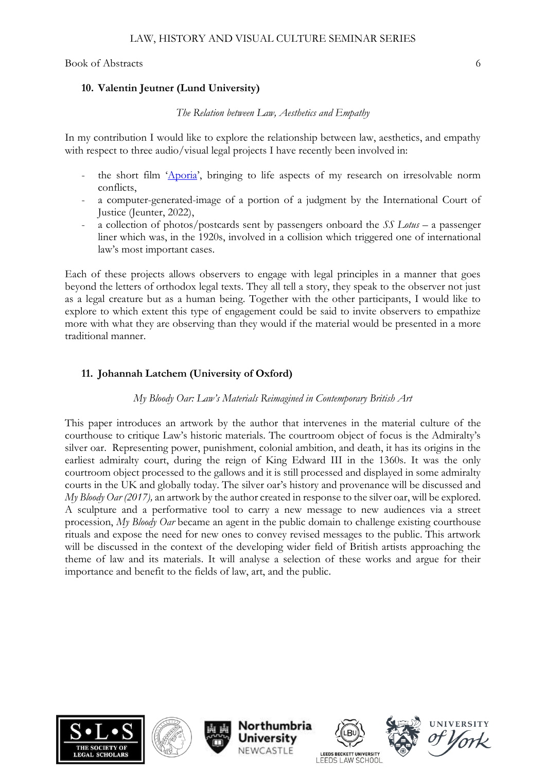## **10. Valentin Jeutner (Lund University)**

## *The Relation between Law, Aesthetics and Empathy*

In my contribution I would like to explore the relationship between law, aesthetics, and empathy with respect to three audio/visual legal projects I have recently been involved in:

- the short film '[Aporia](https://www.youtube.com/watch?v=B9D6LP8wvL0)', bringing to life aspects of my research on irresolvable norm conflicts,
- a computer-generated-image of a portion of a judgment by the International Court of Justice (Jeunter, 2022),
- a collection of photos/postcards sent by passengers onboard the *SS Lotus* a passenger liner which was, in the 1920s, involved in a collision which triggered one of international law's most important cases.

Each of these projects allows observers to engage with legal principles in a manner that goes beyond the letters of orthodox legal texts. They all tell a story, they speak to the observer not just as a legal creature but as a human being. Together with the other participants, I would like to explore to which extent this type of engagement could be said to invite observers to empathize more with what they are observing than they would if the material would be presented in a more traditional manner.

# **11. Johannah Latchem (University of Oxford)**

# *My Bloody Oar: Law's Materials Reimagined in Contemporary British Art*

This paper introduces an artwork by the author that intervenes in the material culture of the courthouse to critique Law's historic materials. The courtroom object of focus is the Admiralty's silver oar. Representing power, punishment, colonial ambition, and death, it has its origins in the earliest admiralty court, during the reign of King Edward III in the 1360s. It was the only courtroom object processed to the gallows and it is still processed and displayed in some admiralty courts in the UK and globally today. The silver oar's history and provenance will be discussed and *My Bloody Oar (2017),* an artwork by the author created in response to the silver oar, will be explored. A sculpture and a performative tool to carry a new message to new audiences via a street procession, *My Bloody Oar* became an agent in the public domain to challenge existing courthouse rituals and expose the need for new ones to convey revised messages to the public. This artwork will be discussed in the context of the developing wider field of British artists approaching the theme of law and its materials. It will analyse a selection of these works and argue for their importance and benefit to the fields of law, art, and the public.











**IINIVERSITY**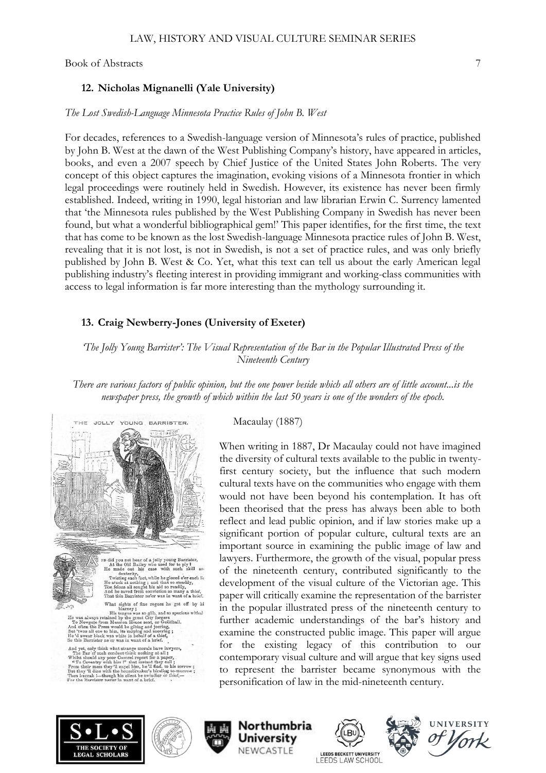## **12. Nicholas Mignanelli (Yale University)**

## *The Lost Swedish-Language Minnesota Practice Rules of John B. West*

For decades, references to a Swedish-language version of Minnesota's rules of practice, published by John B. West at the dawn of the West Publishing Company's history, have appeared in articles, books, and even a 2007 speech by Chief Justice of the United States John Roberts. The very concept of this object captures the imagination, evoking visions of a Minnesota frontier in which legal proceedings were routinely held in Swedish. However, its existence has never been firmly established. Indeed, writing in 1990, legal historian and law librarian Erwin C. Surrency lamented that 'the Minnesota rules published by the West Publishing Company in Swedish has never been found, but what a wonderful bibliographical gem!' This paper identifies, for the first time, the text that has come to be known as the lost Swedish-language Minnesota practice rules of John B. West, revealing that it is not lost, is not in Swedish, is not a set of practice rules, and was only briefly published by John B. West & Co. Yet, what this text can tell us about the early American legal publishing industry's fleeting interest in providing immigrant and working-class communities with access to legal information is far more interesting than the mythology surrounding it.

# **13. Craig Newberry-Jones (University of Exeter)**

*'The Jolly Young Barrister': The Visual Representation of the Bar in the Popular Illustrated Press of the Nineteenth Century*

*There are various factors of public opinion, but the one power beside which all others are of little account...is the newspaper press, the growth of which within the last 50 years is one of the wonders of the epoch.*



Macaulay (1887)

When writing in 1887, Dr Macaulay could not have imagined the diversity of cultural texts available to the public in twentyfirst century society, but the influence that such modern cultural texts have on the communities who engage with them would not have been beyond his contemplation. It has oft been theorised that the press has always been able to both reflect and lead public opinion, and if law stories make up a significant portion of popular culture, cultural texts are an important source in examining the public image of law and lawyers. Furthermore, the growth of the visual, popular press of the nineteenth century, contributed significantly to the development of the visual culture of the Victorian age. This paper will critically examine the representation of the barrister in the popular illustrated press of the nineteenth century to further academic understandings of the bar's history and examine the constructed public image. This paper will argue for the existing legacy of this contribution to our contemporary visual culture and will argue that key signs used to represent the barrister became synonymous with the personification of law in the mid-nineteenth century.











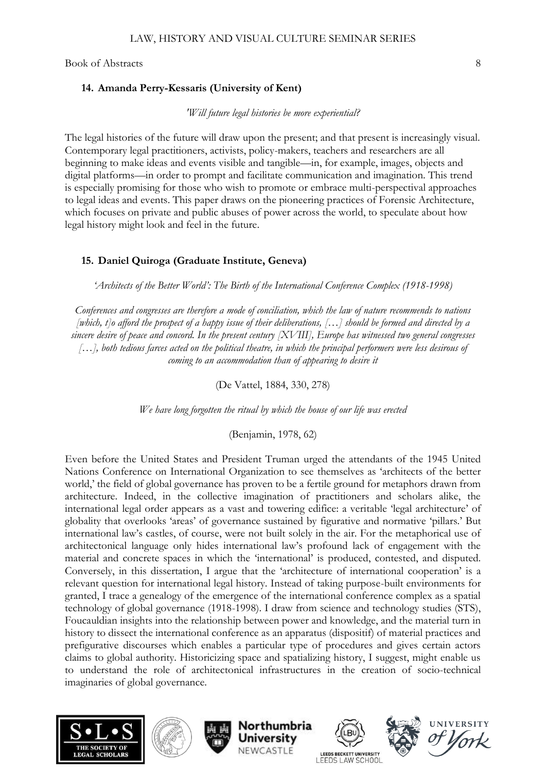## **14. Amanda Perry-Kessaris (University of Kent)**

#### *'Will future legal histories be more experiential?*

The legal histories of the future will draw upon the present; and that present is increasingly visual. Contemporary legal practitioners, activists, policy-makers, teachers and researchers are all beginning to make ideas and events visible and tangible—in, for example, images, objects and digital platforms—in order to prompt and facilitate communication and imagination. This trend is especially promising for those who wish to promote or embrace multi-perspectival approaches to legal ideas and events. This paper draws on the pioneering practices of Forensic Architecture, which focuses on private and public abuses of power across the world, to speculate about how legal history might look and feel in the future.

# **15. Daniel Quiroga (Graduate Institute, Geneva)**

*'Architects of the Better World': The Birth of the International Conference Complex (1918-1998)*

*Conferences and congresses are therefore a mode of conciliation, which the law of nature recommends to nations [which, t]o afford the prospect of a happy issue of their deliberations, […] should be formed and directed by a sincere desire of peace and concord. In the present century [XVIII], Europe has witnessed two general congresses […], both tedious farces acted on the political theatre, in which the principal performers were less desirous of coming to an accommodation than of appearing to desire it* 

(De Vattel, 1884, 330, 278)

*We have long forgotten the ritual by which the house of our life was erected* 

(Benjamin, 1978, 62)

Even before the United States and President Truman urged the attendants of the 1945 United Nations Conference on International Organization to see themselves as 'architects of the better world,' the field of global governance has proven to be a fertile ground for metaphors drawn from architecture. Indeed, in the collective imagination of practitioners and scholars alike, the international legal order appears as a vast and towering edifice: a veritable 'legal architecture' of globality that overlooks 'areas' of governance sustained by figurative and normative 'pillars.' But international law's castles, of course, were not built solely in the air. For the metaphorical use of architectonical language only hides international law's profound lack of engagement with the material and concrete spaces in which the 'international' is produced, contested, and disputed. Conversely, in this dissertation, I argue that the 'architecture of international cooperation' is a relevant question for international legal history. Instead of taking purpose-built environments for granted, I trace a genealogy of the emergence of the international conference complex as a spatial technology of global governance (1918-1998). I draw from science and technology studies (STS), Foucauldian insights into the relationship between power and knowledge, and the material turn in history to dissect the international conference as an apparatus (dispositif) of material practices and prefigurative discourses which enables a particular type of procedures and gives certain actors claims to global authority. Historicizing space and spatializing history, I suggest, might enable us to understand the role of architectonical infrastructures in the creation of socio-technical imaginaries of global governance.



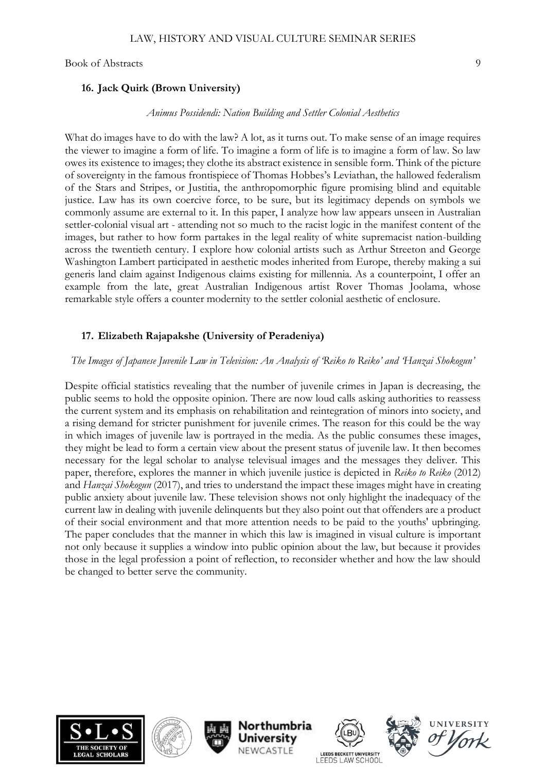## **16. Jack Quirk (Brown University)**

#### *Animus Possidendi: Nation Building and Settler Colonial Aesthetics*

What do images have to do with the law? A lot, as it turns out. To make sense of an image requires the viewer to imagine a form of life. To imagine a form of life is to imagine a form of law. So law owes its existence to images; they clothe its abstract existence in sensible form. Think of the picture of sovereignty in the famous frontispiece of Thomas Hobbes's Leviathan, the hallowed federalism of the Stars and Stripes, or Justitia, the anthropomorphic figure promising blind and equitable justice. Law has its own coercive force, to be sure, but its legitimacy depends on symbols we commonly assume are external to it. In this paper, I analyze how law appears unseen in Australian settler-colonial visual art - attending not so much to the racist logic in the manifest content of the images, but rather to how form partakes in the legal reality of white supremacist nation-building across the twentieth century. I explore how colonial artists such as Arthur Streeton and George Washington Lambert participated in aesthetic modes inherited from Europe, thereby making a sui generis land claim against Indigenous claims existing for millennia. As a counterpoint, I offer an example from the late, great Australian Indigenous artist Rover Thomas Joolama, whose remarkable style offers a counter modernity to the settler colonial aesthetic of enclosure.

## **17. Elizabeth Rajapakshe (University of Peradeniya)**

#### *The Images of Japanese Juvenile Law in Television: An Analysis of 'Reiko to Reiko' and 'Hanzai Shokogun'*

Despite official statistics revealing that the number of juvenile crimes in Japan is decreasing, the public seems to hold the opposite opinion. There are now loud calls asking authorities to reassess the current system and its emphasis on rehabilitation and reintegration of minors into society, and a rising demand for stricter punishment for juvenile crimes. The reason for this could be the way in which images of juvenile law is portrayed in the media. As the public consumes these images, they might be lead to form a certain view about the present status of juvenile law. It then becomes necessary for the legal scholar to analyse televisual images and the messages they deliver. This paper, therefore, explores the manner in which juvenile justice is depicted in *Reiko to Reiko* (2012) and *Hanzai Shokogun* (2017), and tries to understand the impact these images might have in creating public anxiety about juvenile law. These television shows not only highlight the inadequacy of the current law in dealing with juvenile delinquents but they also point out that offenders are a product of their social environment and that more attention needs to be paid to the youths' upbringing. The paper concludes that the manner in which this law is imagined in visual culture is important not only because it supplies a window into public opinion about the law, but because it provides those in the legal profession a point of reflection, to reconsider whether and how the law should be changed to better serve the community.













**IINIVERSI**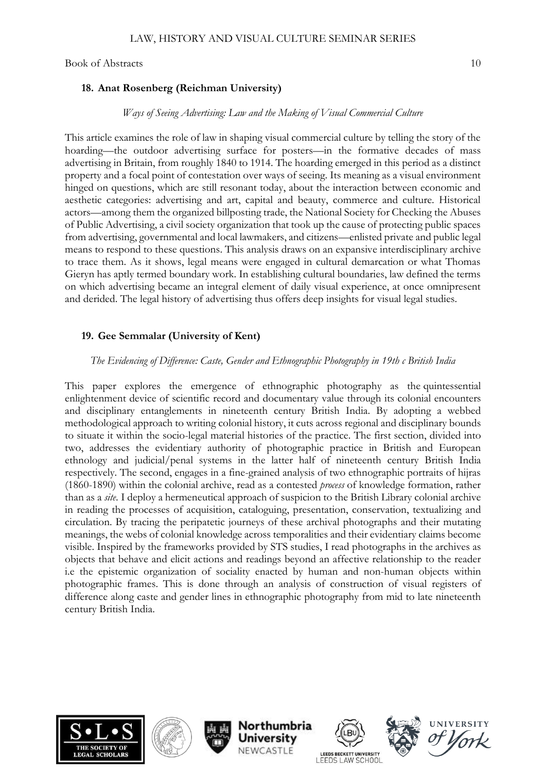## **18. Anat Rosenberg (Reichman University)**

#### *Ways of Seeing Advertising: Law and the Making of Visual Commercial Culture*

This article examines the role of law in shaping visual commercial culture by telling the story of the hoarding—the outdoor advertising surface for posters—in the formative decades of mass advertising in Britain, from roughly 1840 to 1914. The hoarding emerged in this period as a distinct property and a focal point of contestation over ways of seeing. Its meaning as a visual environment hinged on questions, which are still resonant today, about the interaction between economic and aesthetic categories: advertising and art, capital and beauty, commerce and culture. Historical actors—among them the organized billposting trade, the National Society for Checking the Abuses of Public Advertising, a civil society organization that took up the cause of protecting public spaces from advertising, governmental and local lawmakers, and citizens—enlisted private and public legal means to respond to these questions. This analysis draws on an expansive interdisciplinary archive to trace them. As it shows, legal means were engaged in cultural demarcation or what Thomas Gieryn has aptly termed boundary work. In establishing cultural boundaries, law defined the terms on which advertising became an integral element of daily visual experience, at once omnipresent and derided. The legal history of advertising thus offers deep insights for visual legal studies.

## **19. Gee Semmalar (University of Kent)**

## *The Evidencing of Difference: Caste, Gender and Ethnographic Photography in 19th c British India*

This paper explores the emergence of ethnographic photography as the quintessential enlightenment device of scientific record and documentary value through its colonial encounters and disciplinary entanglements in nineteenth century British India. By adopting a webbed methodological approach to writing colonial history, it cuts across regional and disciplinary bounds to situate it within the socio-legal material histories of the practice. The first section, divided into two, addresses the evidentiary authority of photographic practice in British and European ethnology and judicial/penal systems in the latter half of nineteenth century British India respectively. The second, engages in a fine-grained analysis of two ethnographic portraits of hijras (1860-1890) within the colonial archive, read as a contested *process* of knowledge formation, rather than as a *site*. I deploy a hermeneutical approach of suspicion to the British Library colonial archive in reading the processes of acquisition, cataloguing, presentation, conservation, textualizing and circulation. By tracing the peripatetic journeys of these archival photographs and their mutating meanings, the webs of colonial knowledge across temporalities and their evidentiary claims become visible. Inspired by the frameworks provided by STS studies, I read photographs in the archives as objects that behave and elicit actions and readings beyond an affective relationship to the reader i.e the epistemic organization of sociality enacted by human and non-human objects within photographic frames. This is done through an analysis of construction of visual registers of difference along caste and gender lines in ethnographic photography from mid to late nineteenth century British India.













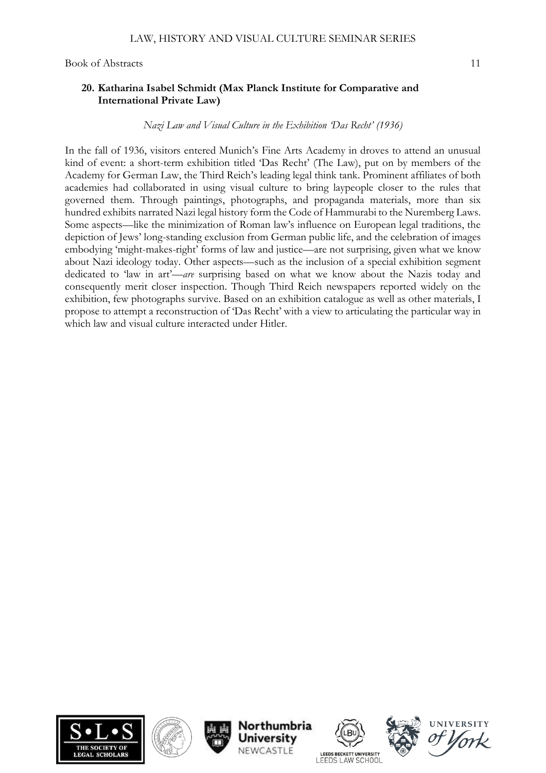#### **20. Katharina Isabel Schmidt (Max Planck Institute for Comparative and International Private Law)**

#### *Nazi Law and Visual Culture in the Exhibition 'Das Recht' (1936)*

In the fall of 1936, visitors entered Munich's Fine Arts Academy in droves to attend an unusual kind of event: a short-term exhibition titled 'Das Recht' (The Law), put on by members of the Academy for German Law, the Third Reich's leading legal think tank. Prominent affiliates of both academies had collaborated in using visual culture to bring laypeople closer to the rules that governed them. Through paintings, photographs, and propaganda materials, more than six hundred exhibits narrated Nazi legal history form the Code of Hammurabi to the Nuremberg Laws. Some aspects—like the minimization of Roman law's influence on European legal traditions, the depiction of Jews' long-standing exclusion from German public life, and the celebration of images embodying 'might-makes-right' forms of law and justice—are not surprising, given what we know about Nazi ideology today. Other aspects—such as the inclusion of a special exhibition segment dedicated to 'law in art'—*are* surprising based on what we know about the Nazis today and consequently merit closer inspection. Though Third Reich newspapers reported widely on the exhibition, few photographs survive. Based on an exhibition catalogue as well as other materials, I propose to attempt a reconstruction of 'Das Recht' with a view to articulating the particular way in which law and visual culture interacted under Hitler.













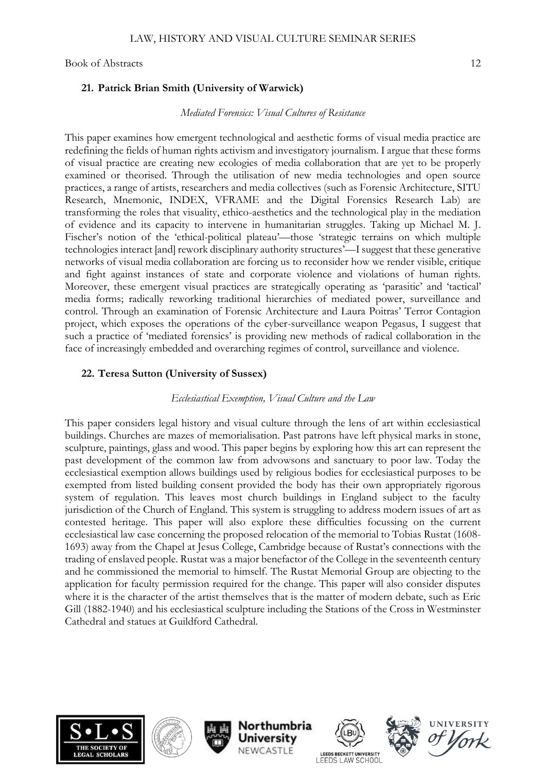#### **21. Patrick Brian Smith (University of Warwick)**

#### *Mediated Forensics: Visual Cultures of Resistance*

This paper examines how emergent technological and aesthetic forms of visual media practice are redefining the fields of human rights activism and investigatory journalism. I argue that these forms of visual practice are creating new ecologies of media collaboration that are yet to be properly examined or theorised. Through the utilisation of new media technologies and open source practices, a range of artists, researchers and media collectives (such as Forensic Architecture, SITU Research, Mnemonic, INDEX, VFRAME and the Digital Forensics Research Lab) are transforming the roles that visuality, ethico-aesthetics and the technological play in the mediation of evidence and its capacity to intervene in humanitarian struggles. Taking up Michael M. J. Fischer's notion of the 'ethical-political plateau'—those 'strategic terrains on which multiple technologies interact [and] rework disciplinary authority structures'—I suggest that these generative networks of visual media collaboration are forcing us to reconsider how we render visible, critique and fight against instances of state and corporate violence and violations of human rights. Moreover, these emergent visual practices are strategically operating as 'parasitic' and 'tactical' media forms; radically reworking traditional hierarchies of mediated power, surveillance and control. Through an examination of Forensic Architecture and Laura Poitras' Terror Contagion project, which exposes the operations of the cyber-surveillance weapon Pegasus, I suggest that such a practice of 'mediated forensics' is providing new methods of radical collaboration in the face of increasingly embedded and overarching regimes of control, surveillance and violence.

#### **22. Teresa Sutton (University of Sussex)**

#### *Ecclesiastical Exemption, Visual Culture and the Law*

This paper considers legal history and visual culture through the lens of art within ecclesiastical buildings. Churches are mazes of memorialisation. Past patrons have left physical marks in stone, sculpture, paintings, glass and wood. This paper begins by exploring how this art can represent the past development of the common law from advowsons and sanctuary to poor law. Today the ecclesiastical exemption allows buildings used by religious bodies for ecclesiastical purposes to be exempted from listed building consent provided the body has their own appropriately rigorous system of regulation. This leaves most church buildings in England subject to the faculty jurisdiction of the Church of England. This system is struggling to address modern issues of art as contested heritage. This paper will also explore these difficulties focussing on the current ecclesiastical law case concerning the proposed relocation of the memorial to Tobias Rustat (1608- 1693) away from the Chapel at Jesus College, Cambridge because of Rustat's connections with the trading of enslaved people. Rustat was a major benefactor of the College in the seventeenth century and he commissioned the memorial to himself. The Rustat Memorial Group are objecting to the application for faculty permission required for the change. This paper will also consider disputes where it is the character of the artist themselves that is the matter of modern debate, such as Eric Gill (1882-1940) and his ecclesiastical sculpture including the Stations of the Cross in Westminster Cathedral and statues at Guildford Cathedral.











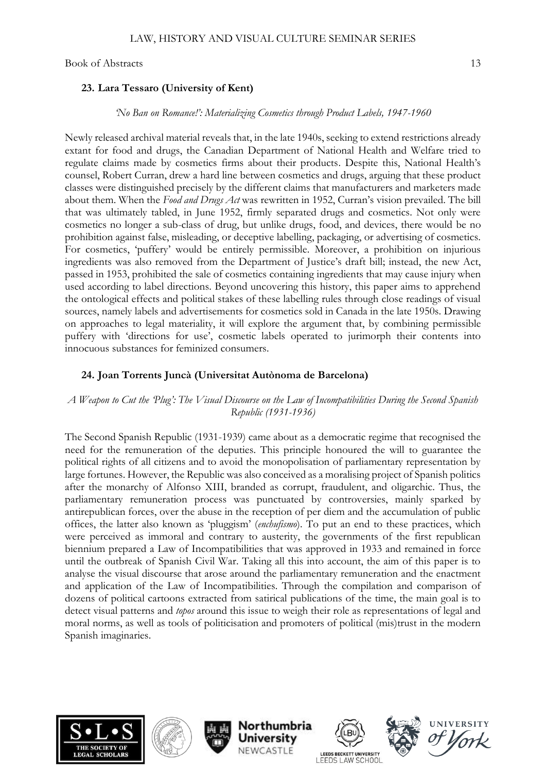#### **23. Lara Tessaro (University of Kent)**

#### *'No Ban on Romance!': Materializing Cosmetics through Product Labels, 1947-1960*

Newly released archival material reveals that, in the late 1940s, seeking to extend restrictions already extant for food and drugs, the Canadian Department of National Health and Welfare tried to regulate claims made by cosmetics firms about their products. Despite this, National Health's counsel, Robert Curran, drew a hard line between cosmetics and drugs, arguing that these product classes were distinguished precisely by the different claims that manufacturers and marketers made about them. When the *Food and Drugs Act* was rewritten in 1952, Curran's vision prevailed. The bill that was ultimately tabled, in June 1952, firmly separated drugs and cosmetics. Not only were cosmetics no longer a sub-class of drug, but unlike drugs, food, and devices, there would be no prohibition against false, misleading, or deceptive labelling, packaging, or advertising of cosmetics. For cosmetics, 'puffery' would be entirely permissible. Moreover, a prohibition on injurious ingredients was also removed from the Department of Justice's draft bill; instead, the new Act, passed in 1953, prohibited the sale of cosmetics containing ingredients that may cause injury when used according to label directions. Beyond uncovering this history, this paper aims to apprehend the ontological effects and political stakes of these labelling rules through close readings of visual sources, namely labels and advertisements for cosmetics sold in Canada in the late 1950s. Drawing on approaches to legal materiality, it will explore the argument that, by combining permissible puffery with 'directions for use', cosmetic labels operated to jurimorph their contents into innocuous substances for feminized consumers.

#### **24. Joan Torrents Juncà (Universitat Autònoma de Barcelona)**

## *A Weapon to Cut the 'Plug': The Visual Discourse on the Law of Incompatibilities During the Second Spanish Republic (1931-1936)*

The Second Spanish Republic (1931-1939) came about as a democratic regime that recognised the need for the remuneration of the deputies. This principle honoured the will to guarantee the political rights of all citizens and to avoid the monopolisation of parliamentary representation by large fortunes. However, the Republic was also conceived as a moralising project of Spanish politics after the monarchy of Alfonso XIII, branded as corrupt, fraudulent, and oligarchic. Thus, the parliamentary remuneration process was punctuated by controversies, mainly sparked by antirepublican forces, over the abuse in the reception of per diem and the accumulation of public offices, the latter also known as 'pluggism' (*enchufismo*). To put an end to these practices, which were perceived as immoral and contrary to austerity, the governments of the first republican biennium prepared a Law of Incompatibilities that was approved in 1933 and remained in force until the outbreak of Spanish Civil War. Taking all this into account, the aim of this paper is to analyse the visual discourse that arose around the parliamentary remuneration and the enactment and application of the Law of Incompatibilities. Through the compilation and comparison of dozens of political cartoons extracted from satirical publications of the time, the main goal is to detect visual patterns and *topos* around this issue to weigh their role as representations of legal and moral norms, as well as tools of politicisation and promoters of political (mis)trust in the modern Spanish imaginaries.











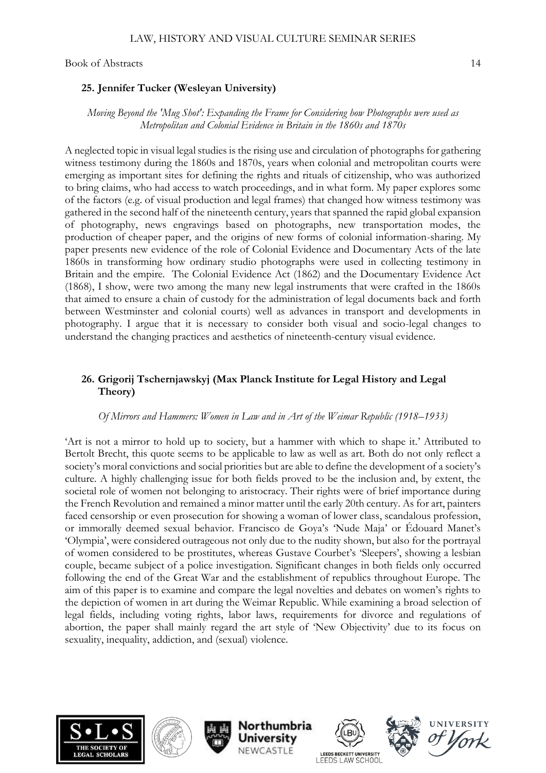#### **25. Jennifer Tucker (Wesleyan University)**

#### *Moving Beyond the 'Mug Shot': Expanding the Frame for Considering how Photographs were used as Metropolitan and Colonial Evidence in Britain in the 1860s and 1870s*

A neglected topic in visual legal studies is the rising use and circulation of photographs for gathering witness testimony during the 1860s and 1870s, years when colonial and metropolitan courts were emerging as important sites for defining the rights and rituals of citizenship, who was authorized to bring claims, who had access to watch proceedings, and in what form. My paper explores some of the factors (e.g. of visual production and legal frames) that changed how witness testimony was gathered in the second half of the nineteenth century, years that spanned the rapid global expansion of photography, news engravings based on photographs, new transportation modes, the production of cheaper paper, and the origins of new forms of colonial information-sharing. My paper presents new evidence of the role of Colonial Evidence and Documentary Acts of the late 1860s in transforming how ordinary studio photographs were used in collecting testimony in Britain and the empire. The Colonial Evidence Act (1862) and the Documentary Evidence Act (1868), I show, were two among the many new legal instruments that were crafted in the 1860s that aimed to ensure a chain of custody for the administration of legal documents back and forth between Westminster and colonial courts) well as advances in transport and developments in photography. I argue that it is necessary to consider both visual and socio-legal changes to understand the changing practices and aesthetics of nineteenth-century visual evidence.

## **26. Grigorij Tschernjawskyj (Max Planck Institute for Legal History and Legal Theory)**

#### *Of Mirrors and Hammers: Women in Law and in Art of the Weimar Republic (1918–1933)*

'Art is not a mirror to hold up to society, but a hammer with which to shape it.' Attributed to Bertolt Brecht, this quote seems to be applicable to law as well as art. Both do not only reflect a society's moral convictions and social priorities but are able to define the development of a society's culture. A highly challenging issue for both fields proved to be the inclusion and, by extent, the societal role of women not belonging to aristocracy. Their rights were of brief importance during the French Revolution and remained a minor matter until the early 20th century. As for art, painters faced censorship or even prosecution for showing a woman of lower class, scandalous profession, or immorally deemed sexual behavior. Francisco de Goya's 'Nude Maja' or Édouard Manet's 'Olympia', were considered outrageous not only due to the nudity shown, but also for the portrayal of women considered to be prostitutes, whereas Gustave Courbet's 'Sleepers', showing a lesbian couple, became subject of a police investigation. Significant changes in both fields only occurred following the end of the Great War and the establishment of republics throughout Europe. The aim of this paper is to examine and compare the legal novelties and debates on women's rights to the depiction of women in art during the Weimar Republic. While examining a broad selection of legal fields, including voting rights, labor laws, requirements for divorce and regulations of abortion, the paper shall mainly regard the art style of 'New Objectivity' due to its focus on sexuality, inequality, addiction, and (sexual) violence.











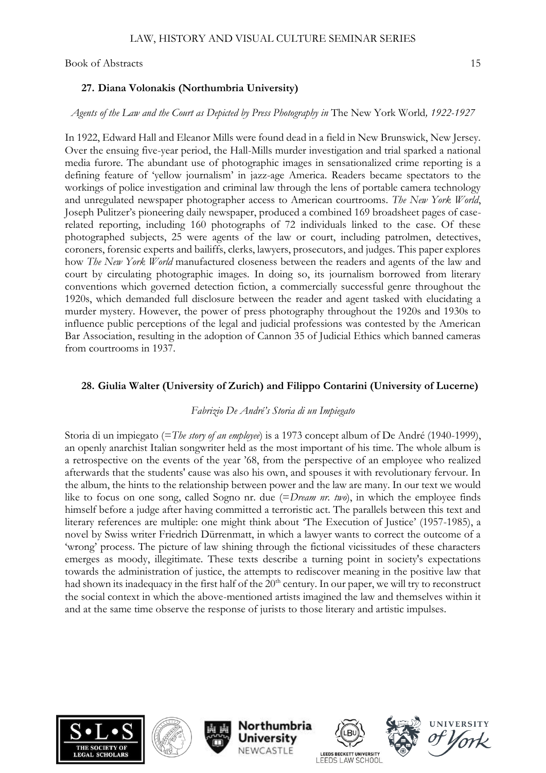#### **27. Diana Volonakis (Northumbria University)**

#### *Agents of the Law and the Court as Depicted by Press Photography in* The New York World*, 1922-1927*

In 1922, Edward Hall and Eleanor Mills were found dead in a field in New Brunswick, New Jersey. Over the ensuing five-year period, the Hall-Mills murder investigation and trial sparked a national media furore. The abundant use of photographic images in sensationalized crime reporting is a defining feature of 'yellow journalism' in jazz-age America. Readers became spectators to the workings of police investigation and criminal law through the lens of portable camera technology and unregulated newspaper photographer access to American courtrooms. *The New York World*, Joseph Pulitzer's pioneering daily newspaper, produced a combined 169 broadsheet pages of caserelated reporting, including 160 photographs of 72 individuals linked to the case. Of these photographed subjects, 25 were agents of the law or court, including patrolmen, detectives, coroners, forensic experts and bailiffs, clerks, lawyers, prosecutors, and judges. This paper explores how *The New York World* manufactured closeness between the readers and agents of the law and court by circulating photographic images. In doing so, its journalism borrowed from literary conventions which governed detection fiction, a commercially successful genre throughout the 1920s, which demanded full disclosure between the reader and agent tasked with elucidating a murder mystery. However, the power of press photography throughout the 1920s and 1930s to influence public perceptions of the legal and judicial professions was contested by the American Bar Association, resulting in the adoption of Cannon 35 of Judicial Ethics which banned cameras from courtrooms in 1937.

## **28. Giulia Walter (University of Zurich) and Filippo Contarini (University of Lucerne)**

## *Fabrizio De André's Storia di un Impiegato*

Storia di un impiegato (=*The story of an employee*) is a 1973 concept album of De André (1940-1999), an openly anarchist Italian songwriter held as the most important of his time. The whole album is a retrospective on the events of the year '68, from the perspective of an employee who realized afterwards that the students' cause was also his own, and spouses it with revolutionary fervour. In the album, the hints to the relationship between power and the law are many. In our text we would like to focus on one song, called Sogno nr. due (=*Dream nr. two*), in which the employee finds himself before a judge after having committed a terroristic act. The parallels between this text and literary references are multiple: one might think about 'The Execution of Justice' (1957-1985), a novel by Swiss writer Friedrich Dürrenmatt, in which a lawyer wants to correct the outcome of a 'wrong' process. The picture of law shining through the fictional vicissitudes of these characters emerges as moody, illegitimate. These texts describe a turning point in society's expectations towards the administration of justice, the attempts to rediscover meaning in the positive law that had shown its inadequacy in the first half of the 20<sup>th</sup> century. In our paper, we will try to reconstruct the social context in which the above-mentioned artists imagined the law and themselves within it and at the same time observe the response of jurists to those literary and artistic impulses.